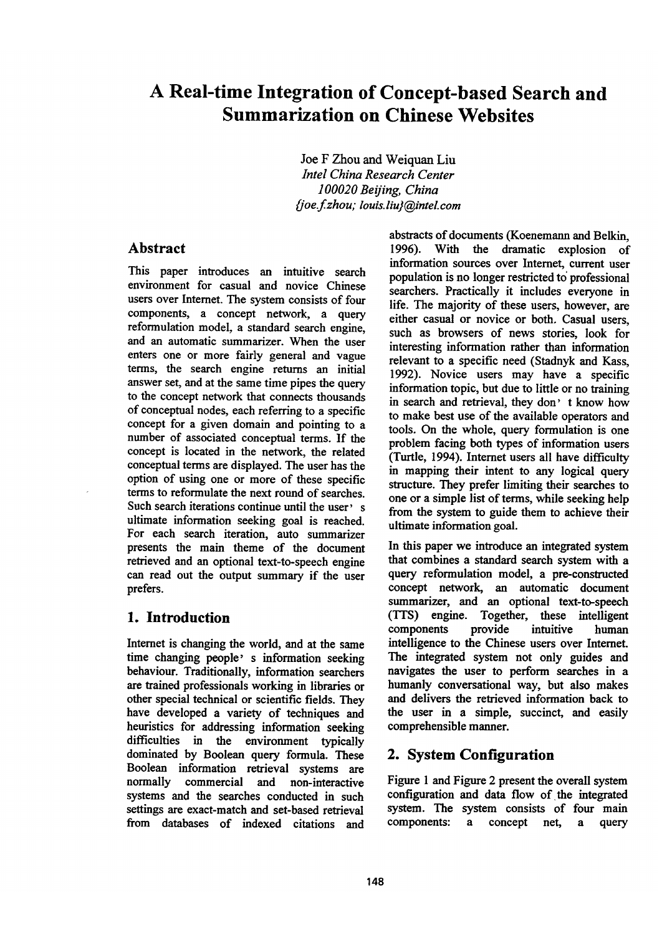# **A Real-time Integration of Concept-based Search and Summarization on Chinese Websites**

Joe F Zhou and Weiquan Liu *lntel China Research Center 100020 Beijing, China ~/oe.f.zhou; louis.liu}@intel.com* 

# **Abstract**

This paper introduces an intuitive search environment for casual and novice Chinese users over Internet. The system consists of four components, a concept network, a query reformulation model, a standard search engine, and an automatic summarizer. When the user enters one or more fairly general and vague terms, the search engine returns an initial answer set, and at the same time pipes the query to the concept network that connects thousands of conceptual nodes, each referring to a specific concept for a given domain and pointing to a number of associated conceptual terms. If the concept is located in the network, the related conceptual terms are displayed. The user has the option of using one or more of these specific terms to reformulate the next round of searches. Such search iterations continue until the user's ultimate information seeking goal is reached. For each search iteration, auto summarizer presents the main theme of the document retrieved and an optional text-to-speech engine can read out the output summary if the user prefers.

# **1. Introduction**

Internet is changing the world, and at the same time changing people' s information seeking behaviour. Traditionally, information searchers are trained professionals working in libraries or other special technical or scientific fields. They have developed a variety of techniques and heuristics for addressing information seeking difficulties in the environment typically dominated by Boolean query formula. These Boolean information retrieval systems are<br>normally commercial and non-interactive commercial and non-interactive systems and the searches conducted in such settings are exact-match and set-based retrieval from databases of indexed citations and

abstracts of documents (Koenemann and Belkin, 1996). With the dramatic explosion of information sources over Internet, current user population is no longer restricted to' professional searchers. Practically it includes everyone in life. The majority of these users, however, are either casual or novice or both. Casual users, such as browsers of news stories, look for interesting information rather than information relevant to a specific need (Stadnyk and Kass, 1992). Novice users may have a specific information topic, but due to little or no training in search and retrieval, they don' t know how to make best use of the available operators and tools. On the whole, query formulation is one problem facing both types of information users (Turtle, 1994). Internet users all have difficulty in mapping their intent to any logical query structure. They prefer limiting their searches to one or a simple list of terms, while seeking help from the system to guide them to achieve their ultimate information goal.

In this paper we introduce an integrated system that combines a standard search system with a query reformulation model, a pre-constructed concept network, an automatic document summarizer, and an optional text-to-speech (TTS) engine. Together, these intelligent components provide intuitive human intelligence to the Chinese users over Internet. The integrated system not only guides and navigates the user to perform searches in a humanly conversational way, but also makes and delivers the retrieved information back to the user in a simple, succinct, and easily comprehensible manner.

# **2. System Configuration**

Figure 1 and Figure 2 present the overall system configuration and data flow of the integrated system. The system consists of four main components: a concept net, a query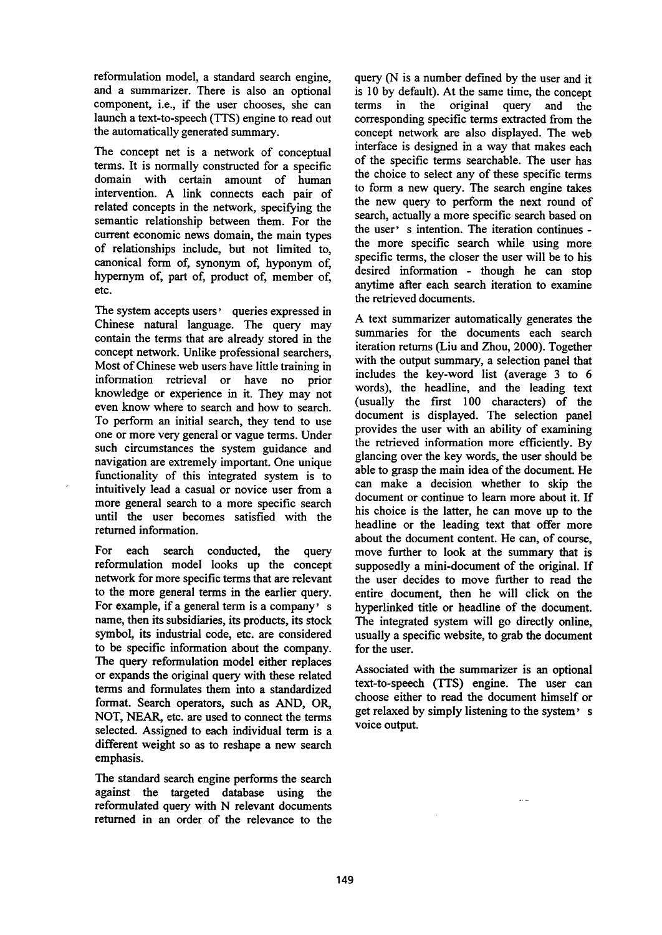reformulation model, a standard search engine, and a summarizer. There is also an optional component, i.e., if the user chooses, she can launch a text-to-speech (TTS) engine to read out the automatically generated summary.

The concept net is a network of conceptual terms. It is normally constructed for a specific domain with certain amount of human intervention. A link connects each pair of related concepts in the network, specifying the semantic relationship between them. For the current economic news domain, the main types of relationships include, but not limited to, canonical form of, synonym of, hyponym of, hypernym of, part of, product of, member of, etc.

The system accepts users' queries expressed in Chinese natural language. The query may contain the terms that are already stored in the concept network. Unlike professional searchers, Most of Chinese web users have little training in information retrieval or have no prior knowledge or experience in it. They may not even know where to search and how to search. To perform an initial search, they tend to use one or more very general or vague terms. Under such circumstances the system guidance and navigation are extremely important. One unique functionality of this integrated system is to intuitively lead a casual or novice user from a more general search to a more specific search until the user becomes satisfied with the returned information.

For each search conducted, the query reformulation model looks up the concept network for more specific terms that are relevant to the more general terms in the earlier query. For example, if a general term is a company' s name, then its subsidiaries, its products, its stock symbol, its industrial code, etc. are considered to be specific information about the company. The query reformulation model either replaces or expands the original query with these related terms and formulates them into a standardized format. Search operators, such as AND, OR, NOT, NEAR, etc. are used to connect the terms selected. Assigned to each individual term is a different weight so as to reshape a new search emphasis.

The standard search engine performs the search against the targeted database using the reformulated query with N relevant documents returned in an order of the relevance to the query (N is a number defined by the user and it is 10 by default). At the same time, the concept terms in the original query and the corresponding specific terms extracted from the concept network are also displayed. The web interface is designed in a way that makes each of the specific terms searchable. The user has the choice to select any of these specific terms to form a new query. The search engine takes the new query to perform the next round of search, actually a more specific search based on the user' s intention. The iteration continues the more specific search while using more specific terms, the closer the user will be to his desired information - though he can stop anytime after each search iteration to examine the retrieved documents.

A text summarizer automatically generates the summaries for the documents each search iteration returns (Liu and Zhou, 2000). Together with the output summary, a selection panel that includes the key-word list (average 3 to 6 words), the headline, and the leading text (usually the first 100 characters) of the document is displayed. The selection panel provides the user with an ability of examining the retrieved information more efficiently. By glancing over the key words, the user should be able to grasp the main idea of the document. He can make a decision whether to skip the document or continue to learn more about it. If his choice is the latter, he can move up to the headline or the leading text that offer more about the document content. He can, of course, move further to look at the summary that is supposedly a mini-document of the original. If the user decides to move further to read the entire document, then he will click on the hyperlinked title or headline of the document. The integrated system will go directly online, usually a specific website, to grab the document for the user.

Associated with the summarizer is an optional text-to-speech (TTS) engine. The user can choose either to read the document himself or get relaxed by simply listening to the system' s voice output.

 $\sim$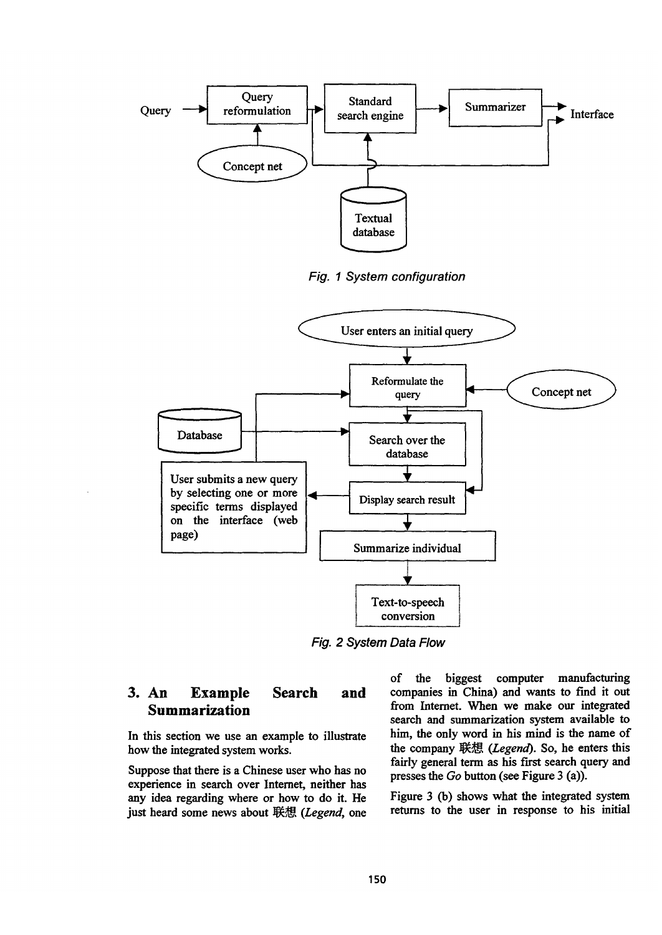





*Fig. 2 System Data Flow* 

#### **3. An Example Summarization Search and**

In this section we use an example to illustrate how the integrated system works.

Suppose that there is a Chinese user who has no experience in search over Internet, neither has any idea regarding where or how to do it. He just heard some news about 联想 (Legend, one

of the biggest computer manufacturing companies in China) and wants to find it out from Internet. When we make our integrated search and summarization system available to him, the only word in his mind is the name of the company 联想 (Legend). So, he enters this fairly general term as his first search query and presses the *Go* button (see Figure 3 (a)).

Figure 3 (b) shows what the integrated system returns to the user in response to his initial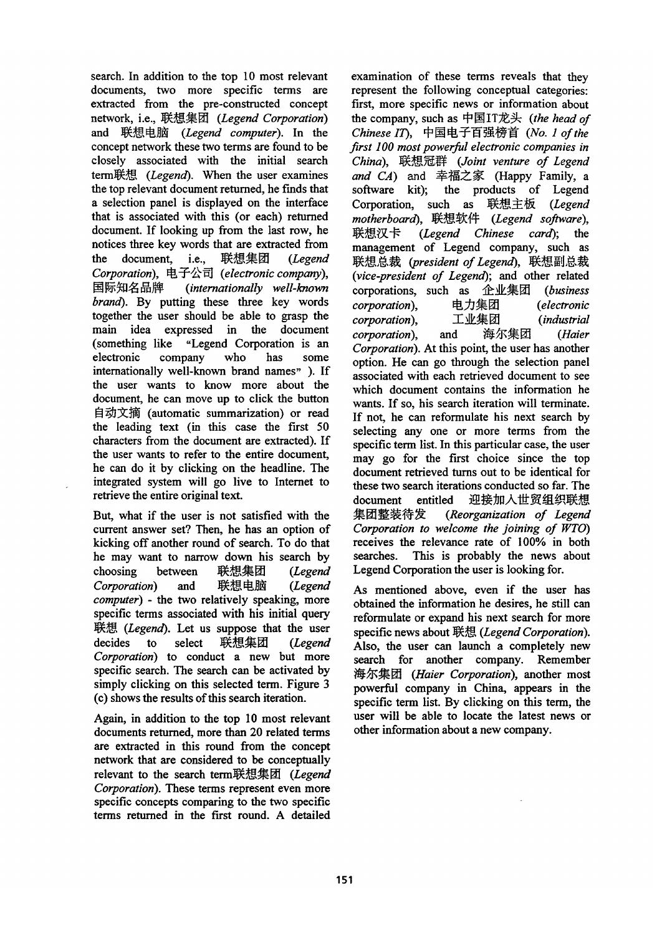search. In addition to the top 10 most relevant documents, two more specific terms are extracted from the pre-constructed concept network, i.e., tI~[] *(Legend Corporation)*  and 联想电脑 (Legend computer). In the concept network these two terms are found to be closely associated with the initial search term联想 *(Legend)*. When the user examines the top relevant document returned, he finds that a selection panel is displayed on the interface that is associated with this (or each) returned document. If looking up from the last row, he notices three key words that are extracted from the document, i.e., 联想集团 *(Legend* Corporation), 电子公司 (electronic company), *~1~ ~)~- (internationally well-known brand).* By putting these three key words together the user should be able to grasp the main idea expressed in the document (something like "Legend Corporation is an electronic company who has some internationally well-known brand names" ). If the user wants to know more about the document, he can move up to click the button 自动文摘 (automatic summarization) or read the leading text (in this case the first 50 characters from the document are extracted). If the user wants to refer to the entire document, he can do it by clicking on the headline. The integrated system will go live to Internet to retrieve the entire original text.

But, what if the user is not satisfied with the current answer set? Then, he has an option of kicking off another round of search. To do that he may want to narrow down his search by choosing between 联想集团 (Legend Corporation) and 联想电脑 (Legend *computer) - the two* relatively speaking, more specific terms associated with his initial query *I~ (Legend).* Let us suppose that the user decides to select 联想集团 (Legend *Corporation)* to conduct a new but more specific search. The search can be activated by simply clicking on this selected term. Figure 3 (e) shows the results of this search iteration.

Again, in addition to the top 10 most relevant documents returned, more than 20 related terms are extracted in this round from the concept network that are considered to be conceptually relevant to the search term联想集团 (Legend *Corporation).* These terms represent even more specific concepts comparing to the two specific terms returned in the first round. A detailed

examination of these terms reveals that they represent the following conceptual categories: first, more specific news or information about the company, such as 中国IT龙头 (the head of Chinese IT), 中国电子百强榜首 (No. 1 of the *first 100 most powerfil electronic companies in China), ]~L~ (Joint venture of Legend and CA*) and 幸福之家 (Happy Family, a software kit); the products of Legend Corporation, such as 联想主板 (Legend  $motherboard$ , 联想软件 (Legend software), 联想汉卡 (*Legend Chinese card*); the management of Legend company, such as 联想总裁 (president of Legend), 联想副总裁 *(vice-president of Legend);* and other related corporations, such as 企业集团 (business corporation), 电力集团 (electronic *corporation), I.~L~ [] (industrial*  corporation), and 海尔集团 (Haier *Corporation).* At this point, the user has another option. He can go through the selection panel associated with each retrieved document to see which document contains the information he wants. If so, his search iteration will terminate. If not, he can reformulate his next search by selecting any one or more terms from the specific term list. In this particular case, the user may go for the first choice since the top document retrieved turns out to be identical for these two search iterations conducted so far. The document entitled 迎接加入世贸组织联想 *~1~I~~ (Reorganization of Legend Corporation to welcome the joining of WTO)*  receives the relevance rate of 100% in both searches. This is probably the news about Legend Corporation the user is looking for.

As mentioned above, even if the user has obtained the information he desires, he still can reformulate or expand his next search for more specific news about 联想 (Legend Corporation). Also, the user can launch a completely new search for another company. Remember 海尔集团 (Haier Corporation), another most powerful company in China, appears in the specific term list. By clicking on this term, the user will be able to locate the latest news or other information about a new company.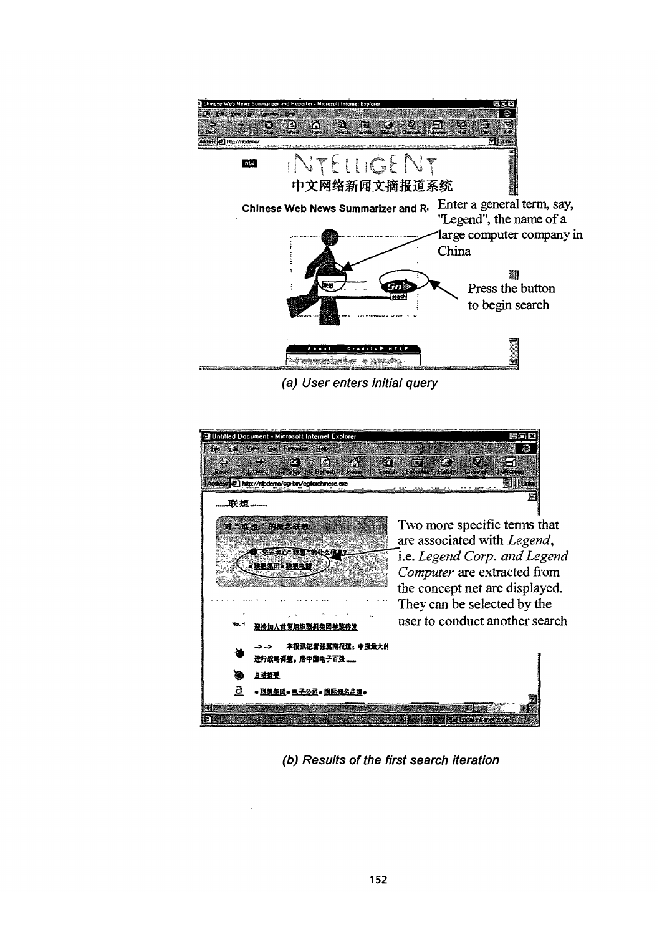

*(a) User enters initial query* 



*(b) Results of the first search iteration*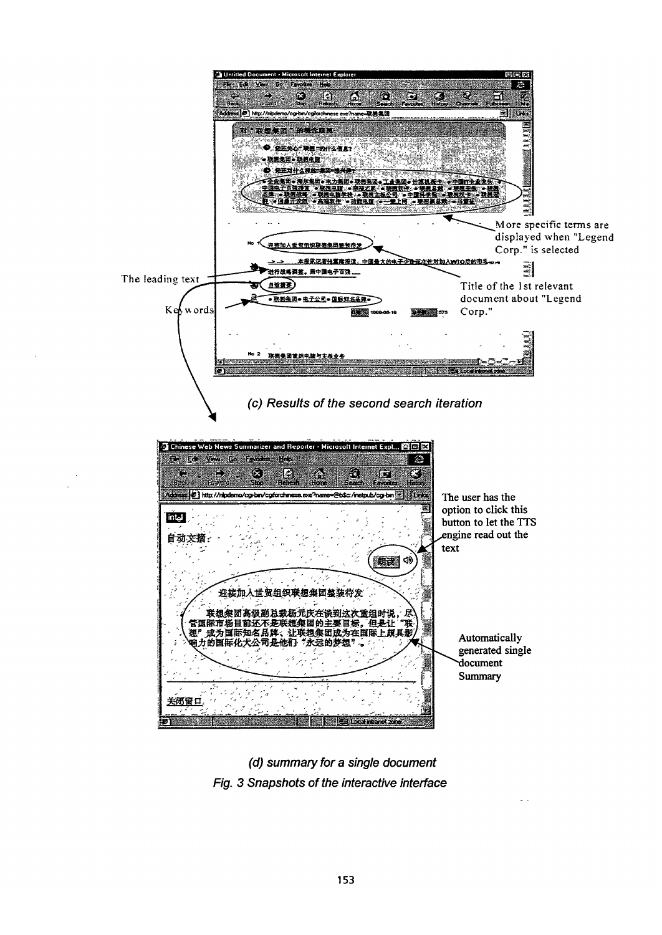

*(d) summary for a single document Fig. 3 Snapshots of the interactive interface*